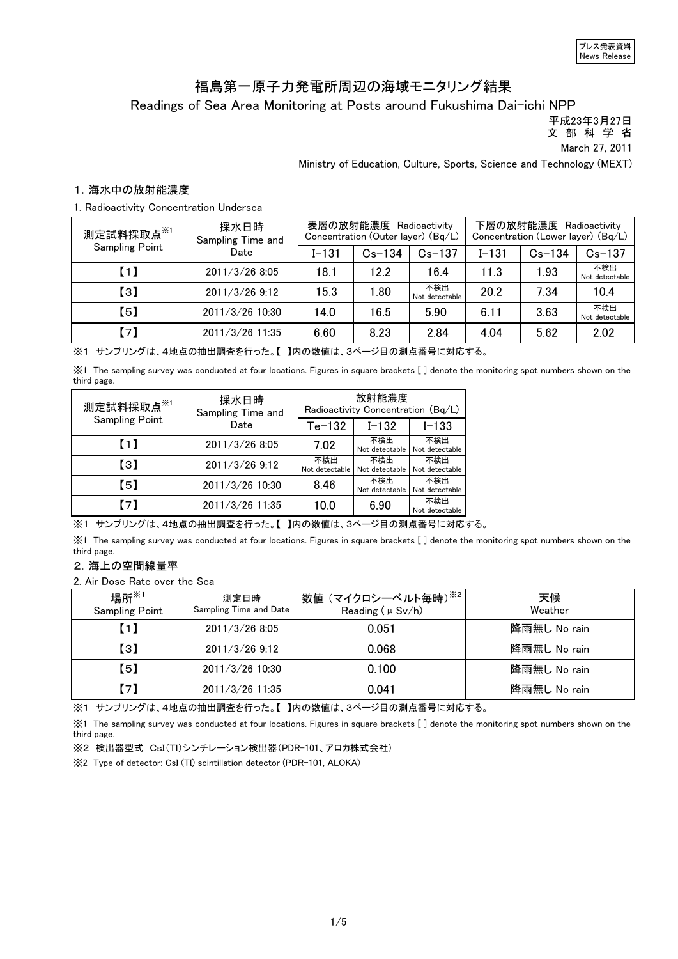# 福島第一原子力発電所周辺の海域モニタリング結果

Readings of Sea Area Monitoring at Posts around Fukushima Dai-ichi NPP

 平成23年3月27日 文 部 科 学 省

March 27, 2011

Ministry of Education, Culture, Sports, Science and Technology (MEXT)

### 1.海水中の放射能濃度

#### 1. Radioactivity Concentration Undersea

| 測定試料採取点 <sup>※1</sup> | 採水日時<br>Sampling Time and |           | 表層の放射能濃度 Radioactivity<br>Concentration (Outer layer) (Bq/L) |                       | 下層の放射能濃度<br>Radioactivity<br>Concentration (Lower layer) (Bq/L) |            |                       |
|-----------------------|---------------------------|-----------|--------------------------------------------------------------|-----------------------|-----------------------------------------------------------------|------------|-----------------------|
| <b>Sampling Point</b> | Date                      | $I - 131$ | $Cs - 134$                                                   | $Cs - 137$            | $I - 1.31$                                                      | $Cs - 134$ | $Cs-137$              |
| $\blacksquare$        | 2011/3/268:05             | 18.1      | 122                                                          | 16.4                  | 11.3                                                            | 1.93       | 不検出<br>Not detectable |
| $\left[3\right]$      | 2011/3/26 9:12            | 15.3      | 1.80                                                         | 不検出<br>Not detectable | 20.2                                                            | 7.34       | 10.4                  |
| 【5】                   | 2011/3/26 10:30           | 14.0      | 16.5                                                         | 5.90                  | 6.11                                                            | 3.63       | 不検出<br>Not detectable |
| $\lceil 7 \rceil$     | 2011/3/26 11:35           | 6.60      | 8.23                                                         | 2.84                  | 4.04                                                            | 5.62       | 2.02                  |

※1 サンプリングは、4地点の抽出調査を行った。【 】内の数値は、3ページ目の測点番号に対応する。

※1 The sampling survey was conducted at four locations. Figures in square brackets [ ] denote the monitoring spot numbers shown on the third page.

| 測定試料採取点※1                                                | 採水日時<br>Sampling Time and | 放射能濃度<br>Radioactivity Concentration (Bq/L) |                       |                       |
|----------------------------------------------------------|---------------------------|---------------------------------------------|-----------------------|-----------------------|
| <b>Sampling Point</b>                                    | Date                      | $Te-132$                                    | $I - 132$             | $I - 133$             |
| (1)                                                      | 2011/3/26 8:05            | 7.02                                        | 不検出<br>Not detectable | 不検出<br>Not detectable |
| $\left[ \begin{smallmatrix} 3 \end{smallmatrix} \right]$ | 2011/3/26 9:12            | 不検出<br>Not detectable                       | 不検出<br>Not detectable | 不検出<br>Not detectable |
| (5)                                                      | 2011/3/26 10:30           | 8.46                                        | 不検出<br>Not detectable | 不検出<br>Not detectable |
| 【7】                                                      | 2011/3/26 11:35           | 10.0                                        | 6.90                  | 不検出<br>Not detectable |

※1 サンプリングは、4地点の抽出調査を行った。【 】内の数値は、3ページ目の測点番号に対応する。

※1 The sampling survey was conducted at four locations. Figures in square brackets [ ] denote the monitoring spot numbers shown on the third page.

### 2.海上の空間線量率

2. Air Dose Rate over the Sea

| 場所 ${{}^{\times}}$ 1<br><b>Sampling Point</b> | 測定日時<br>Sampling Time and Date | <sup>!</sup> 数値 (マイクロシーベルト毎時) <sup>※2</sup>  <br>Reading $(\mu Sv/h)$ | 天候<br>Weather |
|-----------------------------------------------|--------------------------------|-----------------------------------------------------------------------|---------------|
| $\blacksquare$                                | 2011/3/26 8:05                 | 0.051                                                                 | 降雨無し No rain  |
| $\left[3\right]$                              | $2011/3/26$ 9:12               | 0.068                                                                 | 降雨無し No rain  |
| 【5】                                           | 2011/3/26 10:30                | 0.100                                                                 | 降雨無し No rain  |
| 71                                            | 2011/3/26 11:35                | 0.041                                                                 | 降雨無し No rain  |

※1 サンプリングは、4地点の抽出調査を行った。【 】内の数値は、3ページ目の測点番号に対応する。

※1 The sampling survey was conducted at four locations. Figures in square brackets [ ] denote the monitoring spot numbers shown on the third page.

※2 検出器型式 CsI(Tl)シンチレーション検出器(PDR-101、アロカ株式会社)

※2 Type of detector: CsI (TI) scintillation detector (PDR-101, ALOKA)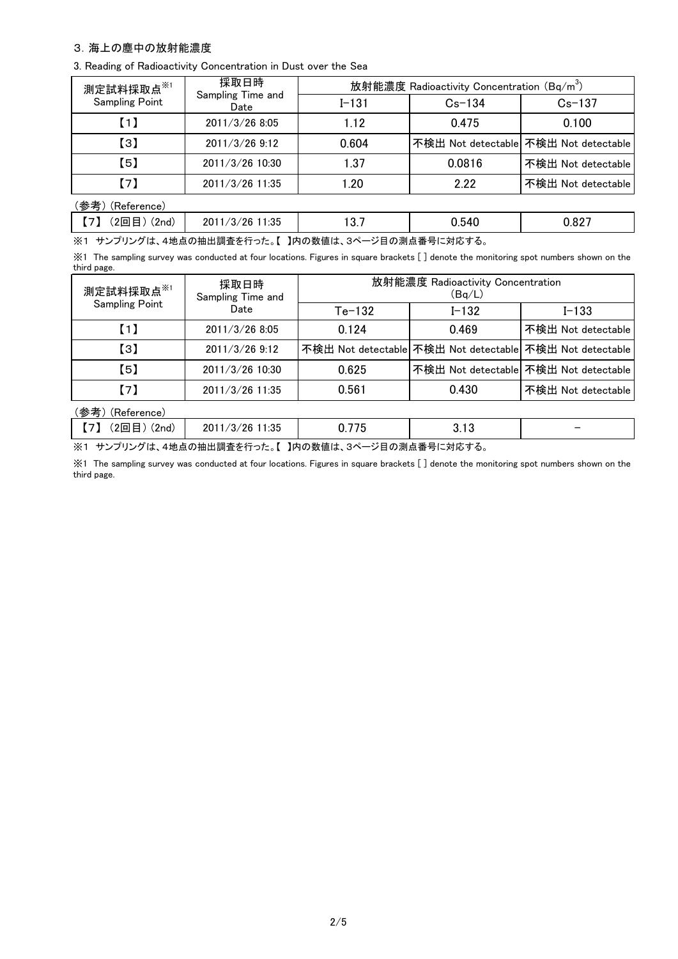### 3.海上の塵中の放射能濃度

3. Reading of Radioactivity Concentration in Dust over the Sea

| 測定試料採取点※1             | 採取日時                      | 放射能濃度 Radioactivity Concentration (Bq/m <sup>3</sup> ) |            |                                       |  |
|-----------------------|---------------------------|--------------------------------------------------------|------------|---------------------------------------|--|
| <b>Sampling Point</b> | Sampling Time and<br>Date | $I - 131$                                              | $Cs - 134$ | $Cs - 137$                            |  |
| (1)                   | 2011/3/26 8:05            | 1.12                                                   | 0.475      | 0.100                                 |  |
| $\left[3\right]$      | $2011/3/26$ 9:12          | 0.604                                                  |            | 不検出 Not detectable 不検出 Not detectable |  |
| 【5】                   | 2011/3/26 10:30           | 1.37                                                   | 0.0816     | 不検出 Not detectable                    |  |
| $\lceil 7 \rceil$     | 2011/3/26 11:35           | 1.20                                                   | 2.22       | 不検出 Not detectable                    |  |
| (参考)(Reference)       |                           |                                                        |            |                                       |  |
| (2回目) (2nd)<br>(7)    | 2011/3/26 11:35           | 13.7                                                   | 0.540      | 0.827                                 |  |

※1 サンプリングは、4地点の抽出調査を行った。【 】内の数値は、3ページ目の測点番号に対応する。

※1 The sampling survey was conducted at four locations. Figures in square brackets [ ] denote the monitoring spot numbers shown on the third page.

| 測定試料採取点※1<br><b>Sampling Point</b> | 採取日時<br>Sampling Time and | 放射能濃度 Radioactivity Concentration<br>(Bq/L) |           |                                                          |  |
|------------------------------------|---------------------------|---------------------------------------------|-----------|----------------------------------------------------------|--|
|                                    | Date                      | $Te-132$                                    | $I - 132$ | $I - 133$                                                |  |
| $\left[1\right]$                   | 2011/3/26 8:05            | 0.124                                       | 0.469     | 不検出 Not detectable                                       |  |
| $\left[3\right]$                   | 2011/3/26 9:12            |                                             |           | 不検出 Not detectable 不検出 Not detectable 不検出 Not detectable |  |
| (5)                                | 2011/3/26 10:30           | 0.625                                       |           | 不検出 Not detectable 不検出 Not detectable                    |  |
| (7)                                | 2011/3/26 11:35           | 0.561                                       | 0.430     | 不検出 Not detectable                                       |  |
| (参考)<br>(Reference)                |                           |                                             |           |                                                          |  |

【7】 (2回目) (2nd) | 2011/3/26 11:35 | 0.775 | 3.13

※1 サンプリングは、4地点の抽出調査を行った。【 】内の数値は、3ページ目の測点番号に対応する。

※1 The sampling survey was conducted at four locations. Figures in square brackets [ ] denote the monitoring spot numbers shown on the third page.

-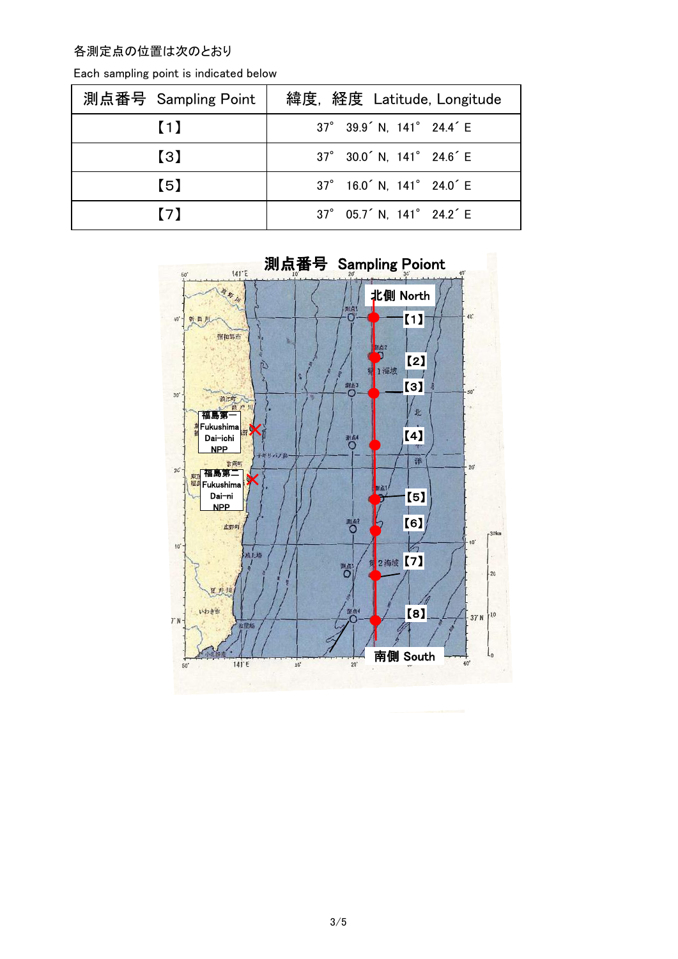## 各測定点の位置は次のとおり

| 測点番号 Sampling Point | 緯度, 経度 Latitude, Longitude                        |
|---------------------|---------------------------------------------------|
| $\blacksquare$      | 37° 39.9 <sup>'</sup> N, 141° 24.4 <sup>'</sup> E |
| $\left( 3\right)$   | 37° 30.0 <sup>'</sup> N, 141° 24.6 <sup>'</sup> E |
| (5)                 | 37° 16.0 <sup>'</sup> N, 141° 24.0 <sup>'</sup> E |
| (7)                 | 37° 05.7 <sup>'</sup> N, 141° 24.2 <sup>'</sup> E |

Each sampling point is indicated below

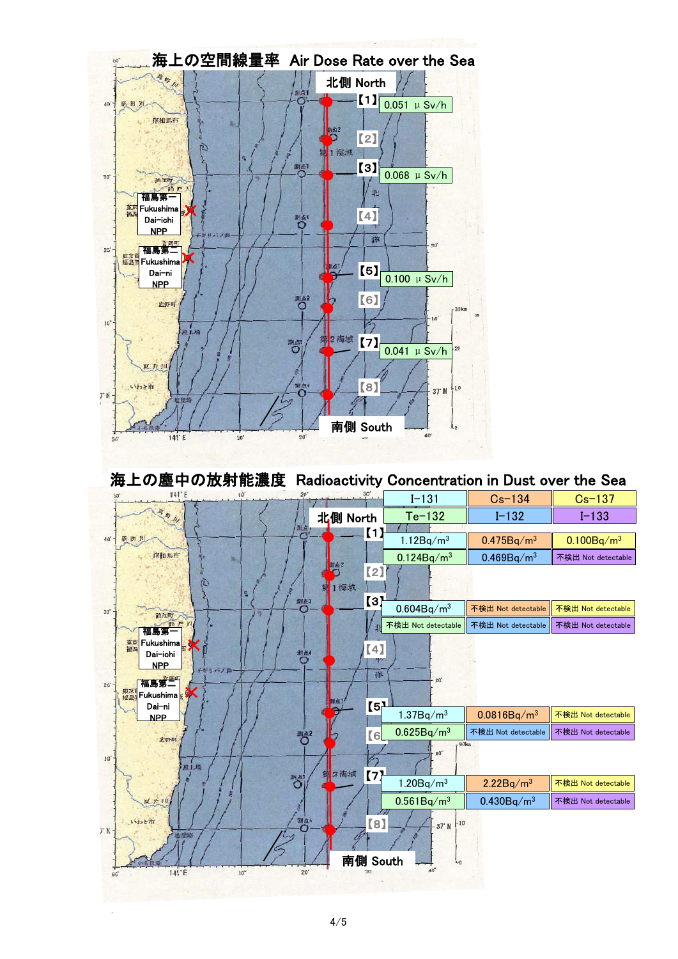

海上の塵中の放射能濃度 Radioactivity Concentration in Dust over the Sea



1) Data points for detected radioactivity concentration lower than the detection limits are not indicated on the map.